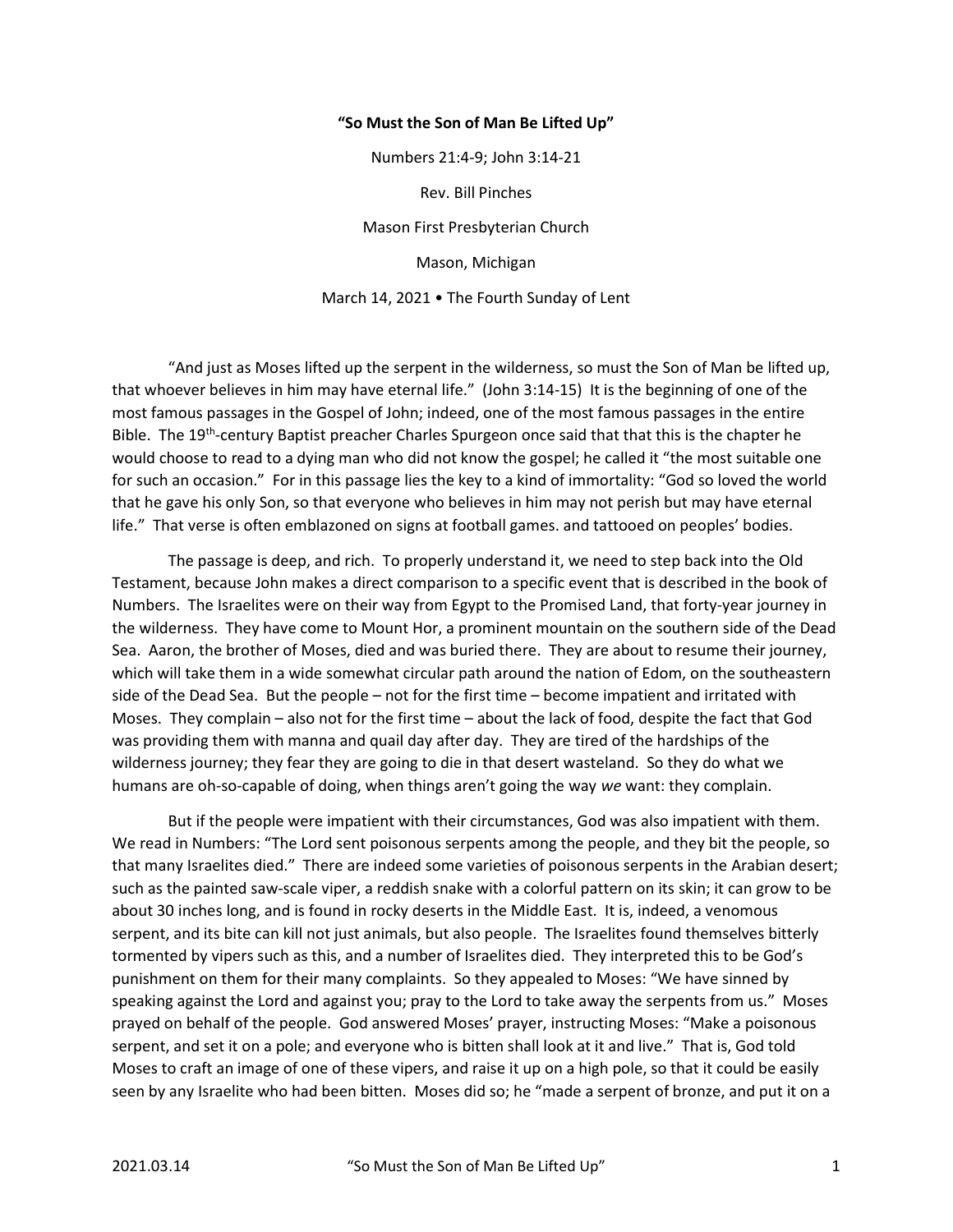## "So Must the Son of Man Be Lifted Up"

Numbers 21:4-9; John 3:14-21 Rev. Bill Pinches Mason First Presbyterian Church Mason, Michigan March 14, 2021 • The Fourth Sunday of Lent

 "And just as Moses lifted up the serpent in the wilderness, so must the Son of Man be lifted up, that whoever believes in him may have eternal life." (John 3:14-15) It is the beginning of one of the most famous passages in the Gospel of John; indeed, one of the most famous passages in the entire Bible. The 19<sup>th</sup>-century Baptist preacher Charles Spurgeon once said that that this is the chapter he would choose to read to a dying man who did not know the gospel; he called it "the most suitable one for such an occasion." For in this passage lies the key to a kind of immortality: "God so loved the world that he gave his only Son, so that everyone who believes in him may not perish but may have eternal life." That verse is often emblazoned on signs at football games. and tattooed on peoples' bodies.

 The passage is deep, and rich. To properly understand it, we need to step back into the Old Testament, because John makes a direct comparison to a specific event that is described in the book of Numbers. The Israelites were on their way from Egypt to the Promised Land, that forty-year journey in the wilderness. They have come to Mount Hor, a prominent mountain on the southern side of the Dead Sea. Aaron, the brother of Moses, died and was buried there. They are about to resume their journey, which will take them in a wide somewhat circular path around the nation of Edom, on the southeastern side of the Dead Sea. But the people – not for the first time – become impatient and irritated with Moses. They complain – also not for the first time – about the lack of food, despite the fact that God was providing them with manna and quail day after day. They are tired of the hardships of the wilderness journey; they fear they are going to die in that desert wasteland. So they do what we humans are oh-so-capable of doing, when things aren't going the way we want: they complain.

 But if the people were impatient with their circumstances, God was also impatient with them. We read in Numbers: "The Lord sent poisonous serpents among the people, and they bit the people, so that many Israelites died." There are indeed some varieties of poisonous serpents in the Arabian desert; such as the painted saw-scale viper, a reddish snake with a colorful pattern on its skin; it can grow to be about 30 inches long, and is found in rocky deserts in the Middle East. It is, indeed, a venomous serpent, and its bite can kill not just animals, but also people. The Israelites found themselves bitterly tormented by vipers such as this, and a number of Israelites died. They interpreted this to be God's punishment on them for their many complaints. So they appealed to Moses: "We have sinned by speaking against the Lord and against you; pray to the Lord to take away the serpents from us." Moses prayed on behalf of the people. God answered Moses' prayer, instructing Moses: "Make a poisonous serpent, and set it on a pole; and everyone who is bitten shall look at it and live." That is, God told Moses to craft an image of one of these vipers, and raise it up on a high pole, so that it could be easily seen by any Israelite who had been bitten. Moses did so; he "made a serpent of bronze, and put it on a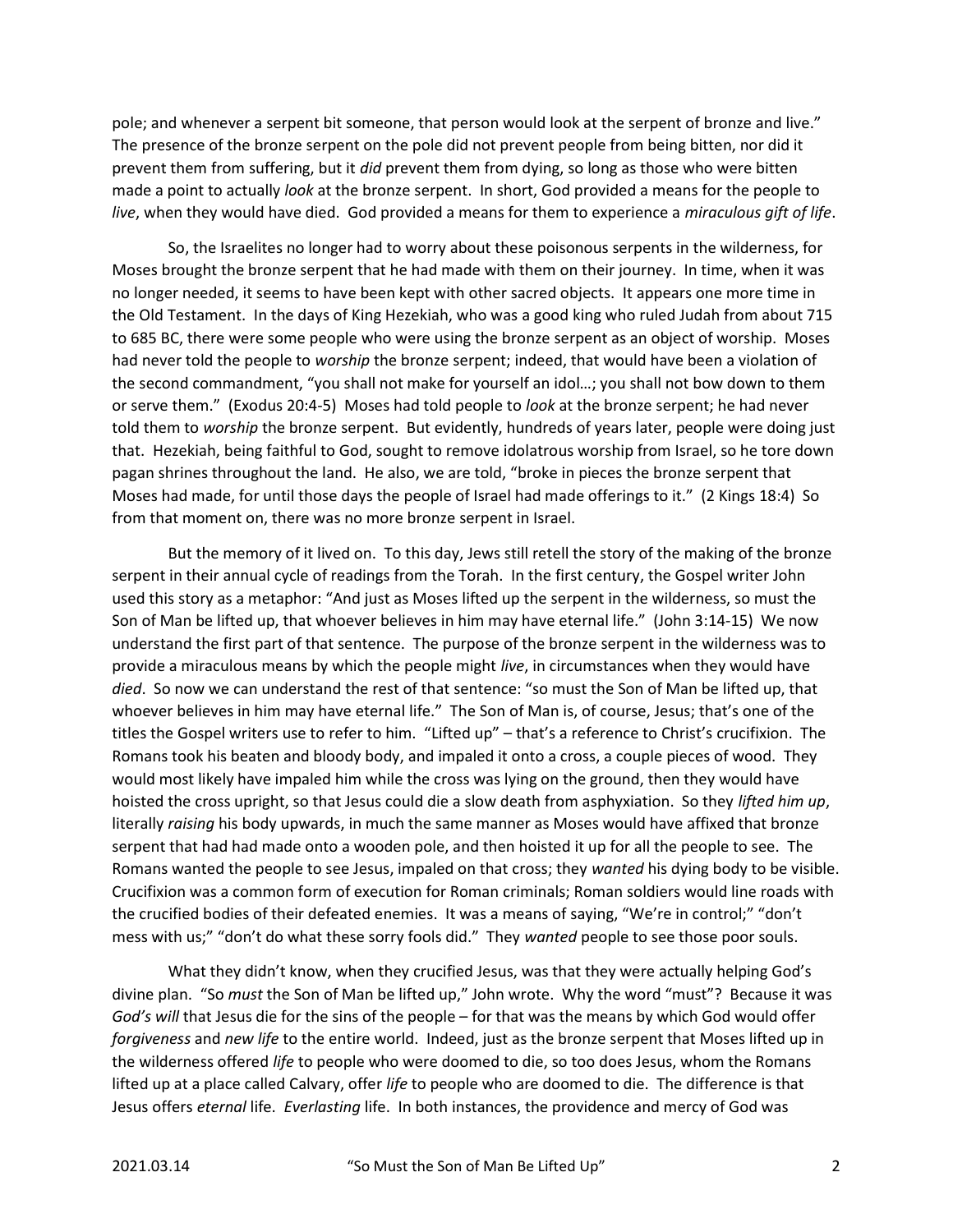pole; and whenever a serpent bit someone, that person would look at the serpent of bronze and live." The presence of the bronze serpent on the pole did not prevent people from being bitten, nor did it prevent them from suffering, but it did prevent them from dying, so long as those who were bitten made a point to actually *look* at the bronze serpent. In short, God provided a means for the people to live, when they would have died. God provided a means for them to experience a miraculous gift of life.

 So, the Israelites no longer had to worry about these poisonous serpents in the wilderness, for Moses brought the bronze serpent that he had made with them on their journey. In time, when it was no longer needed, it seems to have been kept with other sacred objects. It appears one more time in the Old Testament. In the days of King Hezekiah, who was a good king who ruled Judah from about 715 to 685 BC, there were some people who were using the bronze serpent as an object of worship. Moses had never told the people to worship the bronze serpent; indeed, that would have been a violation of the second commandment, "you shall not make for yourself an idol…; you shall not bow down to them or serve them." (Exodus 20:4-5) Moses had told people to look at the bronze serpent; he had never told them to worship the bronze serpent. But evidently, hundreds of years later, people were doing just that. Hezekiah, being faithful to God, sought to remove idolatrous worship from Israel, so he tore down pagan shrines throughout the land. He also, we are told, "broke in pieces the bronze serpent that Moses had made, for until those days the people of Israel had made offerings to it." (2 Kings 18:4) So from that moment on, there was no more bronze serpent in Israel.

 But the memory of it lived on. To this day, Jews still retell the story of the making of the bronze serpent in their annual cycle of readings from the Torah. In the first century, the Gospel writer John used this story as a metaphor: "And just as Moses lifted up the serpent in the wilderness, so must the Son of Man be lifted up, that whoever believes in him may have eternal life." (John 3:14-15) We now understand the first part of that sentence. The purpose of the bronze serpent in the wilderness was to provide a miraculous means by which the people might live, in circumstances when they would have died. So now we can understand the rest of that sentence: "so must the Son of Man be lifted up, that whoever believes in him may have eternal life." The Son of Man is, of course, Jesus; that's one of the titles the Gospel writers use to refer to him. "Lifted up" – that's a reference to Christ's crucifixion. The Romans took his beaten and bloody body, and impaled it onto a cross, a couple pieces of wood. They would most likely have impaled him while the cross was lying on the ground, then they would have hoisted the cross upright, so that Jesus could die a slow death from asphyxiation. So they lifted him up, literally raising his body upwards, in much the same manner as Moses would have affixed that bronze serpent that had had made onto a wooden pole, and then hoisted it up for all the people to see. The Romans wanted the people to see Jesus, impaled on that cross; they wanted his dying body to be visible. Crucifixion was a common form of execution for Roman criminals; Roman soldiers would line roads with the crucified bodies of their defeated enemies. It was a means of saying, "We're in control;" "don't mess with us;" "don't do what these sorry fools did." They wanted people to see those poor souls.

 What they didn't know, when they crucified Jesus, was that they were actually helping God's divine plan. "So must the Son of Man be lifted up," John wrote. Why the word "must"? Because it was God's will that Jesus die for the sins of the people – for that was the means by which God would offer forgiveness and new life to the entire world. Indeed, just as the bronze serpent that Moses lifted up in the wilderness offered life to people who were doomed to die, so too does Jesus, whom the Romans lifted up at a place called Calvary, offer life to people who are doomed to die. The difference is that Jesus offers eternal life. Everlasting life. In both instances, the providence and mercy of God was